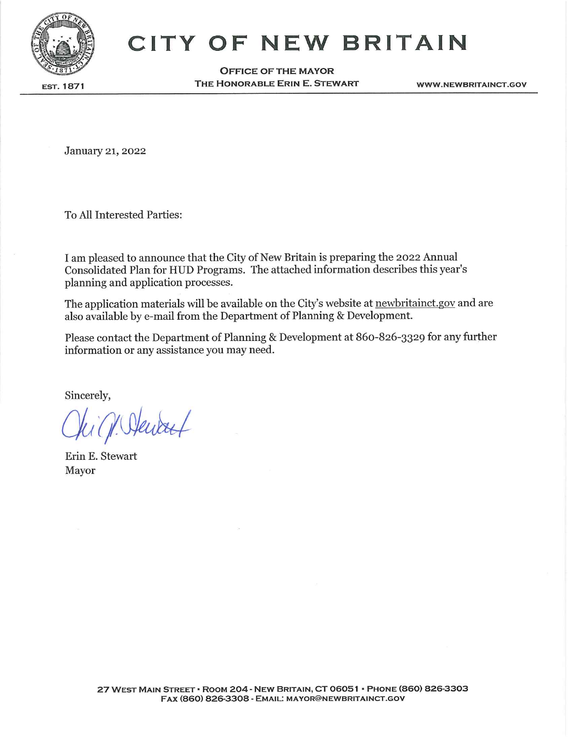

# **CITY OF NEW BRITAIN**

**OFFICE OF THE MAYOR** THE HONORABLE ERIN E. STEWART

**WWW.NEWBRITAINCT.GOV** 

January 21, 2022

To All Interested Parties:

I am pleased to announce that the City of New Britain is preparing the 2022 Annual Consolidated Plan for HUD Programs. The attached information describes this year's planning and application processes.

The application materials will be available on the City's website at newbritainct.gov and are also available by e-mail from the Department of Planning & Development.

Please contact the Department of Planning & Development at 860-826-3329 for any further information or any assistance you may need.

Sincerely,

Erin E. Stewart Mayor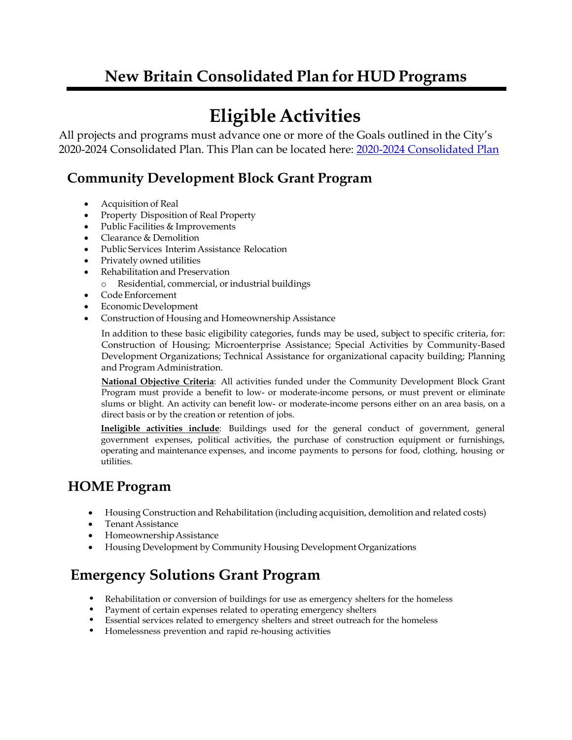## **New Britain Consolidated Plan for HUD Programs**

# **Eligible Activities**

All projects and programs must advance one or more of the Goals outlined in the City's 2020-2024 Consolidated Plan. This Plan can be located here: [2020-2024 Consolidated Plan](../../2020%20Con%20Plan/Con%20Plan%20Document/2020%20Con%20Plan%205%20Year%20Plan%20Only.pdf)

## **Community Development Block Grant Program**

- Acquisition of Real
- Property Disposition of Real Property
- Public Facilities & Improvements
- Clearance & Demolition
- Public Services Interim Assistance Relocation
- Privately owned utilities
- Rehabilitation and Preservation
	- Residential, commercial, or industrial buildings
- Code Enforcement
- EconomicDevelopment
- Construction of Housing and Homeownership Assistance

In addition to these basic eligibility categories, funds may be used, subject to specific criteria, for: Construction of Housing; Microenterprise Assistance; Special Activities by Community-Based Development Organizations; Technical Assistance for organizational capacity building; Planning and Program Administration.

**National Objective Criteria**: All activities funded under the Community Development Block Grant Program must provide a benefit to low- or moderate-income persons, or must prevent or eliminate slums or blight. An activity can benefit low- or moderate-income persons either on an area basis, on a direct basis or by the creation or retention of jobs.

**Ineligible activities include**: Buildings used for the general conduct of government, general government expenses, political activities, the purchase of construction equipment or furnishings, operating and maintenance expenses, and income payments to persons for food, clothing, housing or utilities.

## **HOME Program**

- Housing Construction and Rehabilitation (including acquisition, demolition and related costs)
- Tenant Assistance
- Homeownership Assistance
- Housing Development by Community Housing Development Organizations

## **Emergency Solutions Grant Program**

- Rehabilitation or conversion of buildings for use as emergency shelters for the homeless
- Payment of certain expenses related to operating emergency shelters
- Essential services related to emergency shelters and street outreach for the homeless
- Homelessness prevention and rapid re-housing activities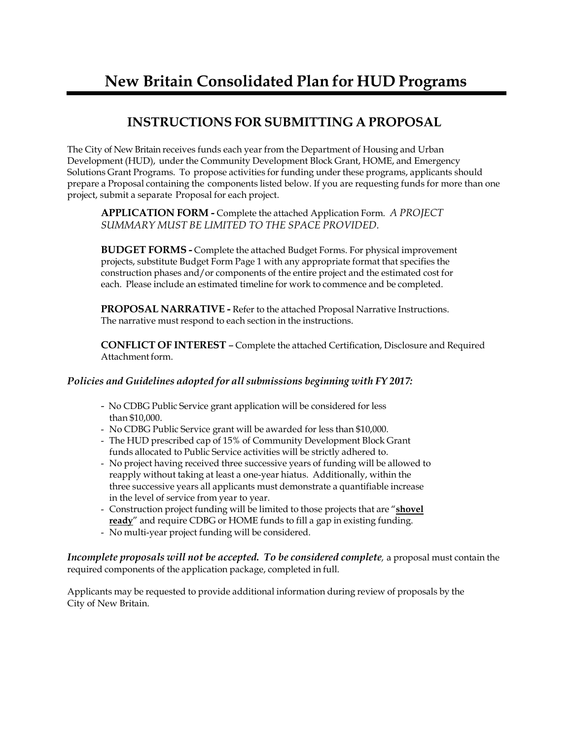## **New Britain Consolidated Plan for HUD Programs**

## **INSTRUCTIONS FOR SUBMITTING A PROPOSAL**

The City of New Britain receives funds each year from the Department of Housing and Urban Development (HUD), under the Community Development Block Grant, HOME, and Emergency Solutions Grant Programs. To propose activities for funding under these programs, applicants should prepare a Proposal containing the components listed below. If you are requesting funds for more than one project, submit a separate Proposal for each project.

**APPLICATION FORM -** Complete the attached Application Form. *A PROJECT SUMMARY MUST BE LIMITED TO THE SPACE PROVIDED.*

**BUDGET FORMS -** Complete the attached Budget Forms. For physical improvement projects, substitute Budget Form Page 1 with any appropriate format that specifies the construction phases and/or components of the entire project and the estimated cost for each. Please include an estimated timeline for work to commence and be completed.

**PROPOSAL NARRATIVE -** Refer to the attached Proposal Narrative Instructions. The narrative must respond to each section in the instructions.

**CONFLICT OF INTEREST** – Complete the attached Certification, Disclosure and Required Attachment form.

#### *Policies and Guidelines adopted for all submissions beginning with FY 2017:*

- No CDBG Public Service grant application will be considered for less than \$10,000.
- No CDBG Public Service grant will be awarded for less than \$10,000.
- The HUD prescribed cap of 15% of Community Development Block Grant funds allocated to Public Service activities will be strictly adhered to.
- No project having received three successive years of funding will be allowed to reapply without taking at least a one-year hiatus. Additionally, within the three successive years all applicants must demonstrate a quantifiable increase in the level of service from year to year.
- Construction project funding will be limited to those projects that are "**shovel ready**" and require CDBG or HOME funds to fill a gap in existing funding.
- No multi-year project funding will be considered.

*Incomplete proposals will not be accepted. To be considered complete,* a proposal must contain the required components of the application package, completed in full.

Applicants may be requested to provide additional information during review of proposals by the City of New Britain.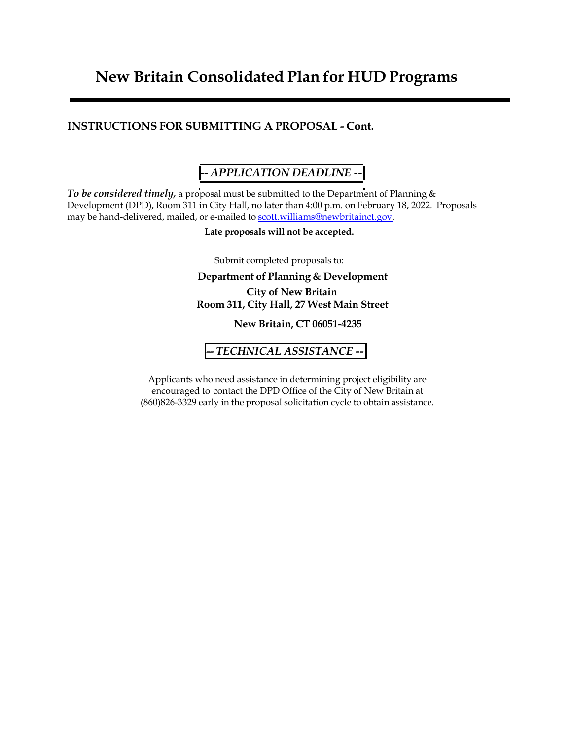## **New Britain Consolidated Plan for HUD Programs**

#### **INSTRUCTIONS FOR SUBMITTING A PROPOSAL - Cont.**

### **--** *APPLICATION DEADLINE --*

*To be considered timely,* a proposal must be submitted to the Department of Planning & Development (DPD), Room 311 in City Hall, no later than 4:00 p.m. on February 18, 2022. Proposals may be hand-delivered, mailed, or e-mailed to [scott.williams@newbritainct.gov.](mailto:scott.williams@newbritainct.gov)

**Late proposals will not be accepted.**

Submit completed proposals to:

#### **Department of Planning & Development City of New Britain Room 311, City Hall, 27 West Main Street**

**New Britain, CT 06051-4235**

#### **--** *TECHNICAL ASSISTANCE -***-**

Applicants who need assistance in determining project eligibility are encouraged to contact the DPD Office of the City of New Britain at (860)826-3329 early in the proposal solicitation cycle to obtain assistance.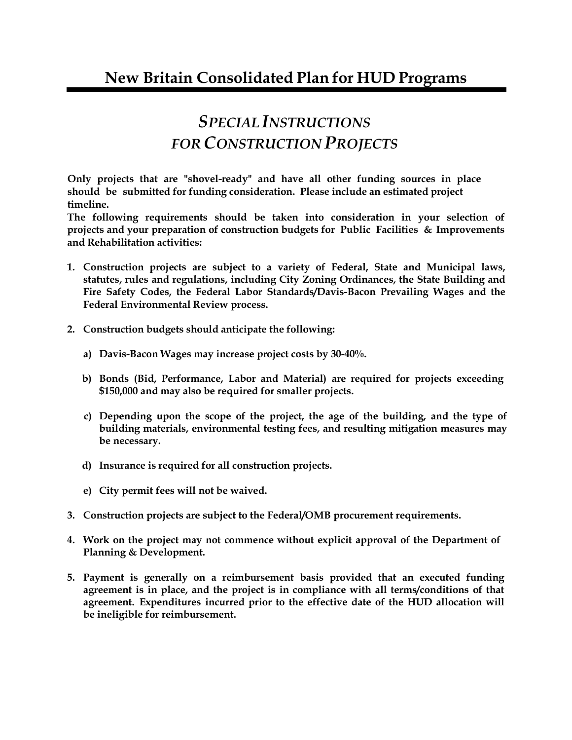# *SPECIALINSTRUCTIONS FOR CONSTRUCTION PROJECTS*

**Only projects that are "shovel-ready" and have all other funding sources in place should be submitted for funding consideration. Please include an estimated project timeline.**

**The following requirements should be taken into consideration in your selection of projects and your preparation of construction budgets for Public Facilities & Improvements and Rehabilitation activities:**

- **1. Construction projects are subject to a variety of Federal, State and Municipal laws, statutes, rules and regulations, including City Zoning Ordinances, the State Building and Fire Safety Codes, the Federal Labor Standards/Davis-Bacon Prevailing Wages and the Federal Environmental Review process.**
- **2. Construction budgets should anticipate the following:**
	- **a) Davis-Bacon Wages may increase project costs by 30-40%.**
	- **b) Bonds (Bid, Performance, Labor and Material) are required for projects exceeding \$150,000 and may also be required for smaller projects.**
	- **c) Depending upon the scope of the project, the age of the building, and the type of building materials, environmental testing fees, and resulting mitigation measures may be necessary.**
	- **d) Insurance is required for all construction projects.**
	- **e) City permit fees will not be waived.**
- **3. Construction projects are subject to the Federal/OMB procurement requirements.**
- **4. Work on the project may not commence without explicit approval of the Department of Planning & Development.**
- **5. Payment is generally on a reimbursement basis provided that an executed funding agreement is in place, and the project is in compliance with all terms/conditions of that agreement. Expenditures incurred prior to the effective date of the HUD allocation will be ineligible for reimbursement.**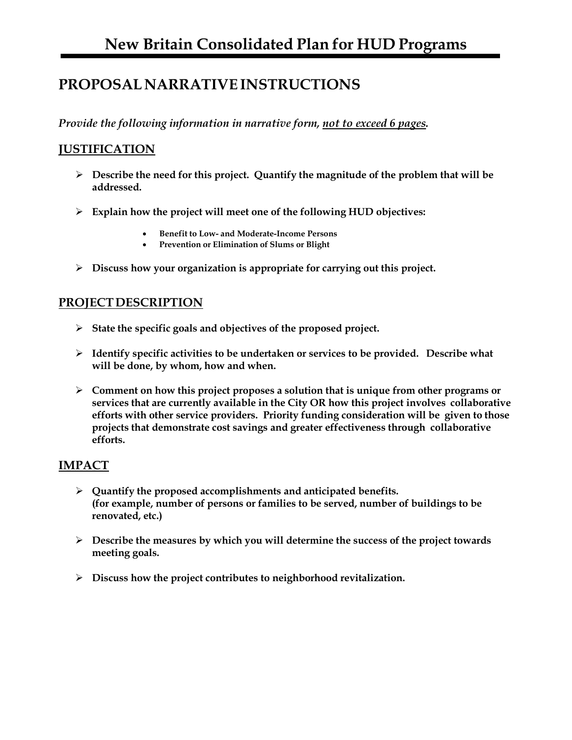## **PROPOSAL NARRATIVEINSTRUCTIONS**

*Provide the following information in narrative form, not to exceed 6 pages.*

#### **JUSTIFICATION**

- **Describe the need for this project. Quantify the magnitude of the problem that will be addressed.**
- **Explain how the project will meet one of the following HUD objectives:**
	- **Benefit to Low- and Moderate-Income Persons**
	- **Prevention or Elimination of Slums or Blight**
- **Discuss how your organization is appropriate for carrying out this project.**

#### **PROJECTDESCRIPTION**

- **State the specific goals and objectives of the proposed project.**
- **Identify specific activities to be undertaken or services to be provided. Describe what will be done, by whom, how and when.**
- **Comment on how this project proposes a solution that is unique from other programs or services that are currently available in the City OR how this project involves collaborative efforts with other service providers. Priority funding consideration will be given to those projects that demonstrate cost savings and greater effectiveness through collaborative efforts.**

#### **IMPACT**

- **Quantify the proposed accomplishments and anticipated benefits. (for example, number of persons or families to be served, number of buildings to be renovated, etc.)**
- **Describe the measures by which you will determine the success of the project towards meeting goals.**
- **Discuss how the project contributes to neighborhood revitalization.**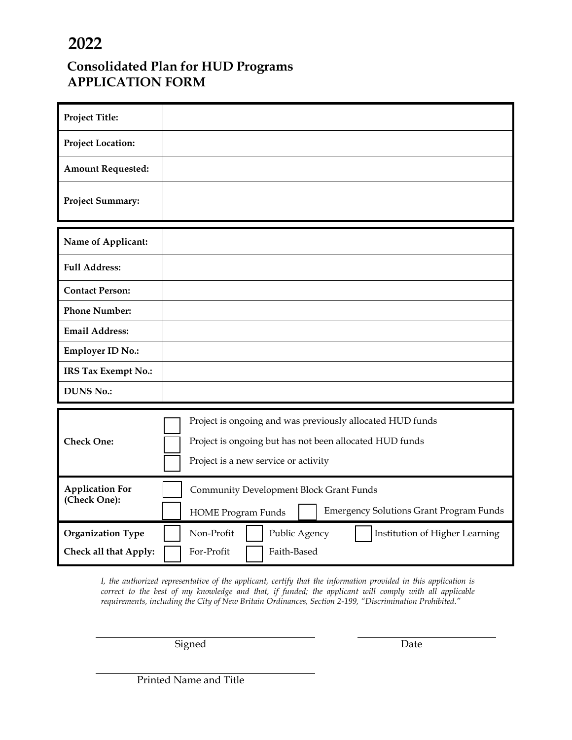## **2022**

## **Consolidated Plan for HUD Programs APPLICATION FORM**

| <b>Project Title:</b>    |                                                                                                                                                              |
|--------------------------|--------------------------------------------------------------------------------------------------------------------------------------------------------------|
| <b>Project Location:</b> |                                                                                                                                                              |
| <b>Amount Requested:</b> |                                                                                                                                                              |
| <b>Project Summary:</b>  |                                                                                                                                                              |
| Name of Applicant:       |                                                                                                                                                              |
| <b>Full Address:</b>     |                                                                                                                                                              |
| <b>Contact Person:</b>   |                                                                                                                                                              |
| <b>Phone Number:</b>     |                                                                                                                                                              |
| <b>Email Address:</b>    |                                                                                                                                                              |
| <b>Employer ID No.:</b>  |                                                                                                                                                              |
| IRS Tax Exempt No.:      |                                                                                                                                                              |
| <b>DUNS No.:</b>         |                                                                                                                                                              |
| <b>Check One:</b>        | Project is ongoing and was previously allocated HUD funds<br>Project is ongoing but has not been allocated HUD funds<br>Project is a new service or activity |
| <b>Application For</b>   | <b>Community Development Block Grant Funds</b>                                                                                                               |
| (Check One):             | <b>Emergency Solutions Grant Program Funds</b><br><b>HOME Program Funds</b>                                                                                  |
| <b>Organization Type</b> | Non-Profit<br>Public Agency<br>Institution of Higher Learning                                                                                                |
| Check all that Apply:    | Faith-Based<br>For-Profit                                                                                                                                    |

*I, the authorized representative of the applicant, certify that the information provided in this application is correct to the best of my knowledge and that, if funded; the applicant will comply with all applicable requirements, including the City of New Britain Ordinances, Section 2-199, "Discrimination Prohibited."*

Signed Date

Printed Name and Title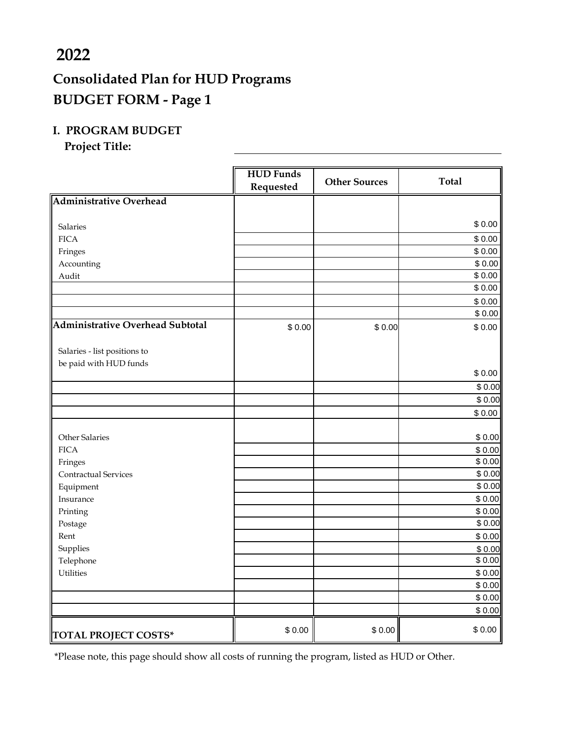## **2022**

## **Consolidated Plan for HUD Programs BUDGET FORM - Page 1**

#### **I. PROGRAM BUDGET**

**Project Title:**

|                                         | <b>HUD Funds</b><br>Requested | <b>Other Sources</b> | <b>Total</b>     |
|-----------------------------------------|-------------------------------|----------------------|------------------|
| <b>Administrative Overhead</b>          |                               |                      |                  |
|                                         |                               |                      |                  |
| <b>Salaries</b>                         |                               |                      | \$0.00           |
| <b>FICA</b>                             |                               |                      | \$0.00           |
| Fringes                                 |                               |                      | \$0.00           |
| Accounting                              |                               |                      | \$0.00           |
| Audit                                   |                               |                      | \$0.00           |
|                                         |                               |                      | \$0.00           |
|                                         |                               |                      | \$0.00           |
|                                         |                               |                      | \$0.00           |
| <b>Administrative Overhead Subtotal</b> | \$0.00                        | \$0.00               | \$0.00           |
|                                         |                               |                      |                  |
| Salaries - list positions to            |                               |                      |                  |
| be paid with HUD funds                  |                               |                      |                  |
|                                         |                               |                      | \$0.00           |
|                                         |                               |                      | \$0.00           |
|                                         |                               |                      | \$0.00           |
|                                         |                               |                      | \$0.00           |
| <b>Other Salaries</b>                   |                               |                      |                  |
| <b>FICA</b>                             |                               |                      | \$0.00<br>\$0.00 |
| Fringes                                 |                               |                      | \$0.00           |
| Contractual Services                    |                               |                      | \$0.00           |
| Equipment                               |                               |                      | \$0.00           |
| Insurance                               |                               |                      | \$0.00           |
| Printing                                |                               |                      | \$0.00           |
| Postage                                 |                               |                      | \$0.00           |
| Rent                                    |                               |                      | \$0.00           |
| Supplies                                |                               |                      | \$0.00           |
| Telephone                               |                               |                      | \$0.00           |
| <b>Utilities</b>                        |                               |                      | \$0.00           |
|                                         |                               |                      | \$0.00           |
|                                         |                               |                      | \$0.00           |
|                                         |                               |                      | \$0.00           |
| <b>TOTAL PROJECT COSTS*</b>             | \$0.00                        | \$0.00               | \$0.00           |

\*Please note, this page should show all costs of running the program, listed as HUD or Other.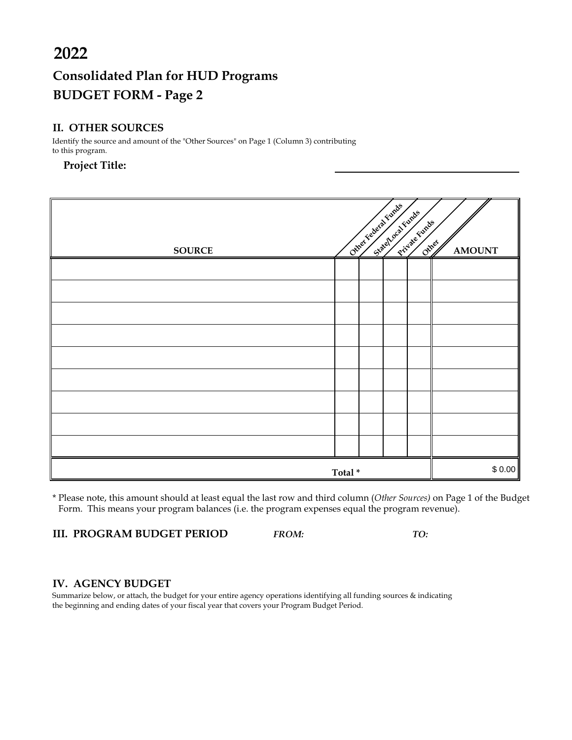# **Consolidated Plan for HUD Programs BUDGET FORM - Page 2**

#### **II. OTHER SOURCES**

| 2022                                                                                                        |        |  |                                             |               |               |
|-------------------------------------------------------------------------------------------------------------|--------|--|---------------------------------------------|---------------|---------------|
| <b>Consolidated Plan for HUD Programs</b>                                                                   |        |  |                                             |               |               |
| <b>BUDGET FORM - Page 2</b>                                                                                 |        |  |                                             |               |               |
| <b>II. OTHER SOURCES</b>                                                                                    |        |  |                                             |               |               |
| Identify the source and amount of the "Other Sources" on Page 1 (Column 3) contributing<br>to this program. |        |  |                                             |               |               |
| <b>Project Title:</b>                                                                                       |        |  |                                             |               |               |
|                                                                                                             |        |  |                                             |               |               |
|                                                                                                             |        |  |                                             |               |               |
|                                                                                                             |        |  | Chiley Federal Function<br>Statehoca Funchs | Private Funds |               |
| <b>SOURCE</b>                                                                                               |        |  |                                             | Other         | <b>AMOUNT</b> |
|                                                                                                             |        |  |                                             |               |               |
|                                                                                                             |        |  |                                             |               |               |
|                                                                                                             |        |  |                                             |               |               |
|                                                                                                             |        |  |                                             |               |               |
|                                                                                                             |        |  |                                             |               |               |
|                                                                                                             |        |  |                                             |               |               |
|                                                                                                             |        |  |                                             |               |               |
|                                                                                                             |        |  |                                             |               |               |
|                                                                                                             |        |  |                                             |               |               |
|                                                                                                             |        |  |                                             |               |               |
|                                                                                                             |        |  |                                             |               |               |
|                                                                                                             | Total* |  |                                             |               | \$0.00        |

\* Please note, this amount should at least equal the last row and third column (*Other Sources)* on Page 1 of the Budget Form. This means your program balances (i.e. the program expenses equal the program revenue).

**III. PROGRAM BUDGET PERIOD** *FROM: TO:*

#### **IV. AGENCY BUDGET**

Summarize below, or attach, the budget for your entire agency operations identifying all funding sources & indicating the beginning and ending dates of your fiscal year that covers your Program Budget Period.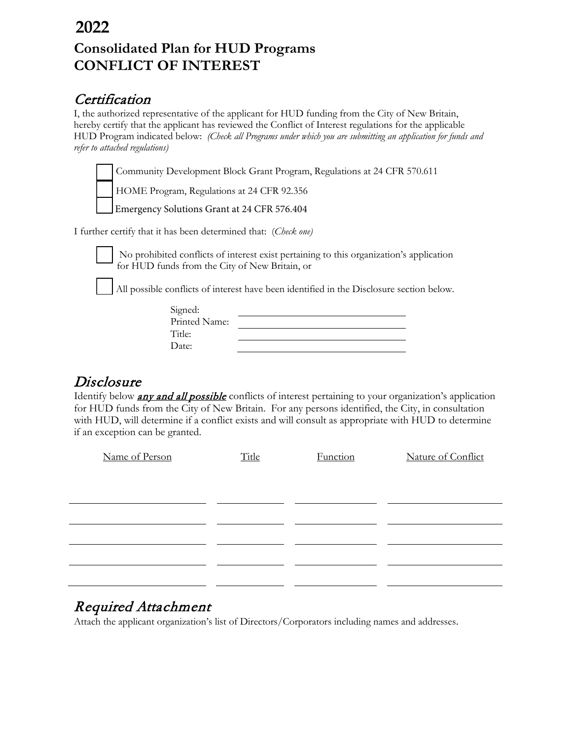## **Consolidated Plan for HUD Programs CONFLICT OF INTEREST 2022**

## **Certification**

I, the authorized representative of the applicant for HUD funding from the City of New Britain, hereby certify that the applicant has reviewed the Conflict of Interest regulations for the applicable HUD Program indicated below: *(Check all Programs under which you are submitting an application for funds and refer to attached regulations)* 

Community Development Block Grant Program, Regulations at 24 CFR 570.611

HOME Program, Regulations at 24 CFR 92.356

**Emergency Solutions Grant at 24 CFR 576.404** 

I further certify that it has been determined that: (*Check one)* 



No prohibited conflicts of interest exist pertaining to this organization's application for HUD funds from the City of New Britain, or

All possible conflicts of interest have been identified in the Disclosure section below.

| Signed:       |  |
|---------------|--|
| Printed Name: |  |
| Title:        |  |
| Date:         |  |

**Disclosure**<br>Identify below **any and all possible** conflicts of interest pertaining to your organization's application for HUD funds from the City of New Britain. For any persons identified, the City, in consultation with HUD, will determine if a conflict exists and will consult as appropriate with HUD to determine if an exception can be granted.

| Name of Person | Title | Function | Nature of Conflict |
|----------------|-------|----------|--------------------|
|                |       |          |                    |
|                |       |          |                    |
|                |       |          |                    |
|                |       |          |                    |
|                |       |          |                    |
|                |       |          |                    |
|                |       |          |                    |

## Required Attachment

Attach the applicant organization's list of Directors/Corporators including names and addresses.